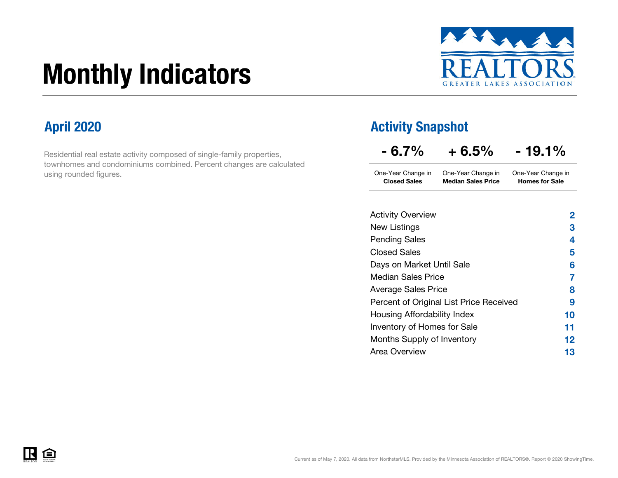# Monthly Indicators



Residential real estate activity composed of single-family properties, townhomes and condominiums combined. Percent changes are calculated using rounded figures.

### April 2020 **Activity Snapshot**

| - 6.7%                                    | + 6.5%                                          | $-19.1\%$                                   |
|-------------------------------------------|-------------------------------------------------|---------------------------------------------|
| One-Year Change in<br><b>Closed Sales</b> | One-Year Change in<br><b>Median Sales Price</b> | One-Year Change in<br><b>Homes for Sale</b> |
| <b>Activity Overview</b>                  |                                                 | 2                                           |
| New Listings                              |                                                 | 3                                           |
| Pending Sales                             |                                                 | 4                                           |
| <b>Closed Sales</b>                       |                                                 | 5                                           |
| Days on Market Until Sale                 |                                                 | 6                                           |
| Median Sales Price                        |                                                 | 7                                           |
| Average Sales Price                       |                                                 | 8                                           |
|                                           | Percent of Original List Price Received         | 9                                           |
| Housing Affordability Index               |                                                 | 10                                          |

| Percent of Original List Price Received |                 |
|-----------------------------------------|-----------------|
| Housing Affordability Index             | 10              |
| Inventory of Homes for Sale             | 11              |
| Months Supply of Inventory              | 12 <sub>1</sub> |
| Area Overview                           | 13.             |

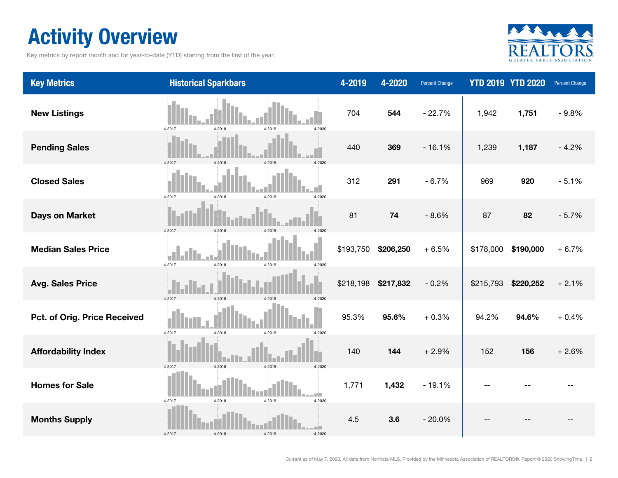### Activity Overview

Key metrics by report month and for year-to-date (YTD) starting from the first of the year.



| <b>Key Metrics</b>           | <b>Historical Sparkbars</b>              | 4-2019    | 4-2020    | <b>Percent Change</b> |           | <b>YTD 2019 YTD 2020</b> | Percent Change |
|------------------------------|------------------------------------------|-----------|-----------|-----------------------|-----------|--------------------------|----------------|
| <b>New Listings</b>          | 4-2017<br>4-2018<br>4-2020<br>4-2019     | 704       | 544       | $-22.7%$              | 1,942     | 1,751                    | $-9.8%$        |
| <b>Pending Sales</b>         | 4-2017<br>4-2018<br>4-2019<br>4-2020     | 440       | 369       | $-16.1%$              | 1,239     | 1,187                    | $-4.2%$        |
| <b>Closed Sales</b>          | 4-2017<br>4-2018<br>4-2019<br>4-2020     | 312       | 291       | $-6.7%$               | 969       | 920                      | $-5.1%$        |
| <b>Days on Market</b>        | 4-2017<br>4-2018<br>4-2019               | 81        | 74        | $-8.6%$               | 87        | 82                       | $-5.7%$        |
| <b>Median Sales Price</b>    | 4-2017<br>4-2018<br>4-2019<br>4-2020     | \$193,750 | \$206,250 | $+6.5%$               | \$178,000 | \$190,000                | $+6.7%$        |
| <b>Avg. Sales Price</b>      | 4-2017<br>4-2018<br>4-2019<br>4-2020     | \$218,198 | \$217,832 | $-0.2%$               | \$215,793 | \$220,252                | $+2.1%$        |
| Pct. of Orig. Price Received | 4-2017<br>4-2018<br>4-2019<br>4-2020     | 95.3%     | 95.6%     | $+0.3%$               | 94.2%     | 94.6%                    | $+0.4%$        |
| <b>Affordability Index</b>   | 4-2017<br>4-2018<br>4-2019<br>4-2020     | 140       | 144       | $+2.9%$               | 152       | 156                      | $+2.6%$        |
| <b>Homes for Sale</b>        | $4 - 2018$<br>4-2019<br>4-2017<br>4-2020 | 1,771     | 1,432     | $-19.1%$              |           |                          |                |
| <b>Months Supply</b>         | 4-2018<br>4-2017<br>4-2019<br>4-2020     | 4.5       | 3.6       | $-20.0%$              |           |                          |                |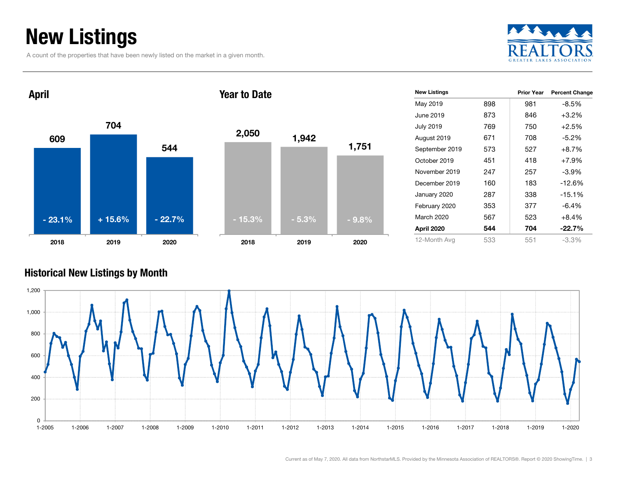### New Listings

A count of the properties that have been newly listed on the market in a given month.





#### Historical New Listings by Month

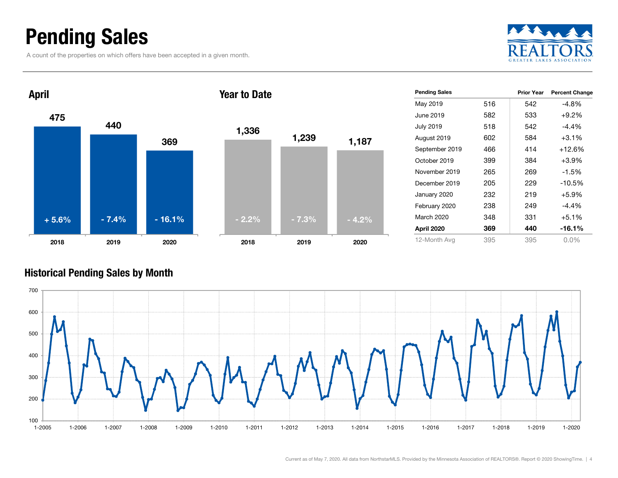### Pending Sales

A count of the properties on which offers have been accepted in a given month.





#### Historical Pending Sales by Month

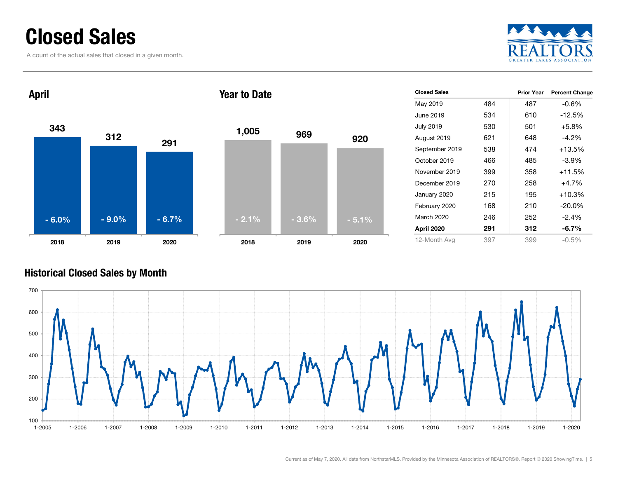### Closed Sales

A count of the actual sales that closed in a given month.





| <b>Closed Sales</b> |     | <b>Prior Year</b> | <b>Percent Change</b> |
|---------------------|-----|-------------------|-----------------------|
| May 2019            | 484 | 487               | -0.6%                 |
| June 2019           | 534 | 610               | -12.5%                |
| <b>July 2019</b>    | 530 | 501               | $+5.8%$               |
| August 2019         | 621 | 648               | $-4.2\%$              |
| September 2019      | 538 | 474               | $+13.5%$              |
| October 2019        | 466 | 485               | $-3.9\%$              |
| November 2019       | 399 | 358               | $+11.5%$              |
| December 2019       | 270 | 258               | $+4.7%$               |
| January 2020        | 215 | 195               | +10.3%                |
| February 2020       | 168 | 210               | $-20.0\%$             |
| March 2020          | 246 | 252               | $-2.4%$               |
| April 2020          | 291 | 312               | $-6.7\%$              |
| 12-Month Avg        | 397 | 399               | $-0.5\%$              |

#### Historical Closed Sales by Month

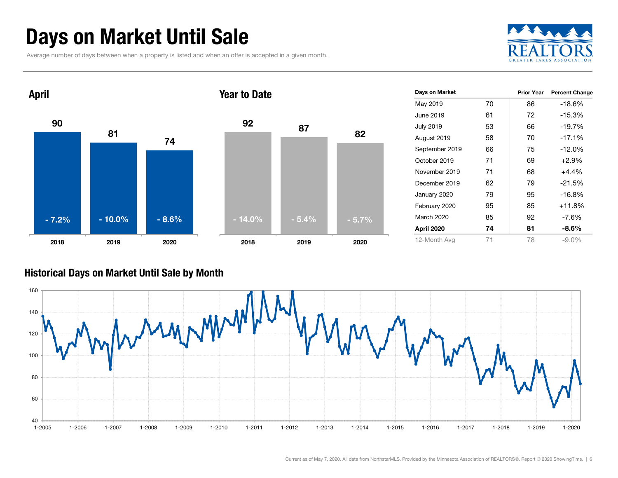### Days on Market Until Sale

Average number of days between when a property is listed and when an offer is accepted in a given month.





#### Historical Days on Market Until Sale by Month

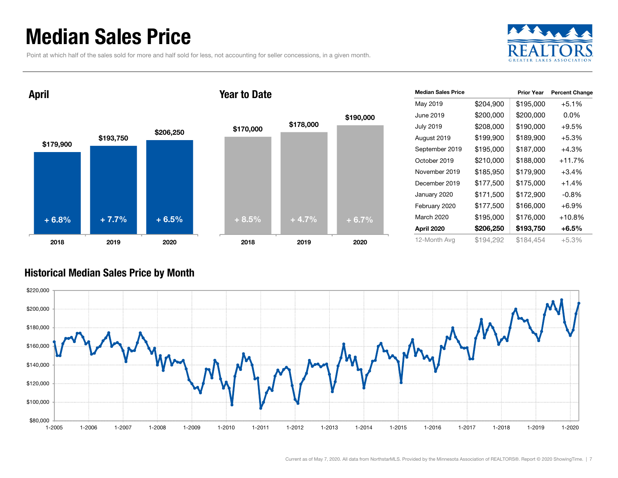### Median Sales Price

Point at which half of the sales sold for more and half sold for less, not accounting for seller concessions, in a given month.





| <b>Median Sales Price</b> |           | <b>Prior Year</b> | <b>Percent Change</b> |
|---------------------------|-----------|-------------------|-----------------------|
| May 2019                  | \$204,900 | \$195,000         | $+5.1%$               |
| June 2019                 | \$200,000 | \$200,000         | $0.0\%$               |
| <b>July 2019</b>          | \$208,000 | \$190,000         | $+9.5%$               |
| August 2019               | \$199,900 | \$189,900         | $+5.3%$               |
| September 2019            | \$195,000 | \$187,000         | $+4.3%$               |
| October 2019              | \$210,000 | \$188,000         | $+11.7%$              |
| November 2019             | \$185,950 | \$179,900         | $+3.4%$               |
| December 2019             | \$177,500 | \$175,000         | $+1.4%$               |
| January 2020              | \$171,500 | \$172,900         | $-0.8%$               |
| February 2020             | \$177,500 | \$166,000         | $+6.9%$               |
| March 2020                | \$195,000 | \$176,000         | +10.8%                |
| April 2020                | \$206,250 | \$193,750         | $+6.5%$               |
| 12-Month Avg              | \$194,292 | \$184,454         | $+5.3%$               |

#### Historical Median Sales Price by Month

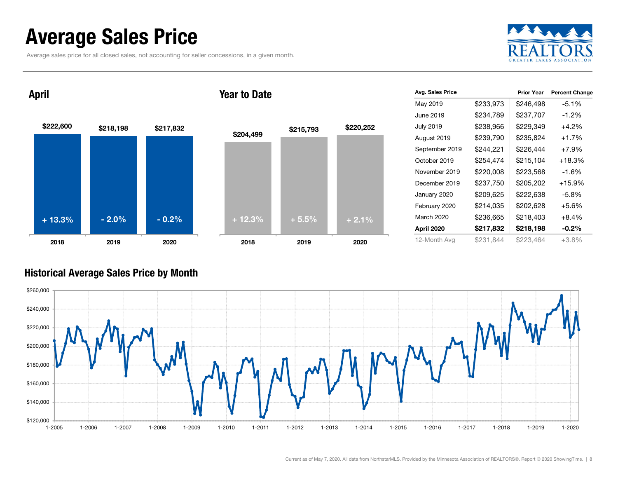### Average Sales Price

Average sales price for all closed sales, not accounting for seller concessions, in a given month.



\$222,600 \$218,198 \$217,832 2018 2019 2020 April 2018Year to Date+ 13.3% $\%$  - 2.0% - 0.2% + 12.3% + 5.5% + 2.1%

| \$204,499  | \$215,793 | \$220,252 |
|------------|-----------|-----------|
|            |           |           |
|            |           |           |
| $+ 12.3\%$ | $+5.5%$   | $+2.1%$   |
| 2018       | 2019      | 2020      |

| Avg. Sales Price |           | <b>Prior Year</b> | <b>Percent Change</b> |
|------------------|-----------|-------------------|-----------------------|
| May 2019         | \$233,973 | \$246,498         | $-5.1%$               |
| June 2019        | \$234,789 | \$237,707         | $-1.2\%$              |
| <b>July 2019</b> | \$238,966 | \$229,349         | $+4.2%$               |
| August 2019      | \$239,790 | \$235,824         | $+1.7%$               |
| September 2019   | \$244,221 | \$226,444         | $+7.9%$               |
| October 2019     | \$254,474 | \$215,104         | $+18.3%$              |
| November 2019    | \$220,008 | \$223,568         | $-1.6%$               |
| December 2019    | \$237,750 | \$205,202         | $+15.9%$              |
| January 2020     | \$209,625 | \$222,638         | $-5.8\%$              |
| February 2020    | \$214,035 | \$202,628         | $+5.6%$               |
| March 2020       | \$236,665 | \$218,403         | $+8.4\%$              |
| April 2020       | \$217,832 | \$218,198         | $-0.2\%$              |
| 12-Month Avg     | \$231,844 | \$223,464         | $+3.8%$               |

#### Historical Average Sales Price by Month

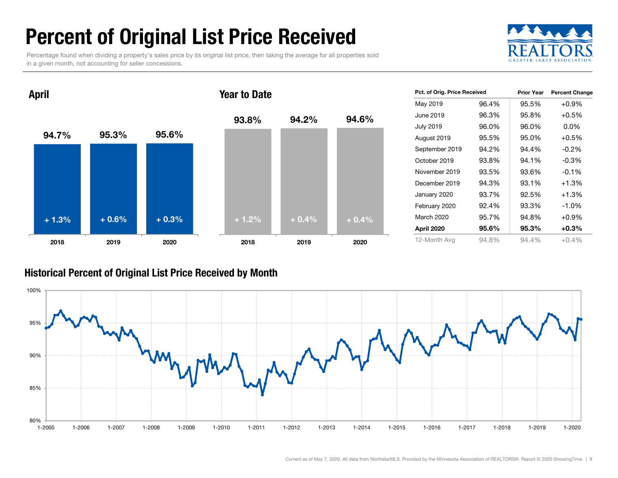### Percent of Original List Price Received

Percentage found when dividing a property's sales price by its original list price, then taking the average for all properties sold in a given month, not accounting for seller concessions.



Prior Year Percent Change



#### Historical Percent of Original List Price Received by Month

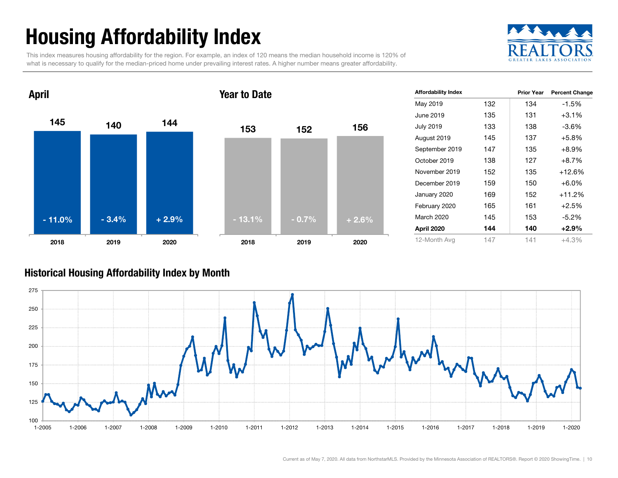## Housing Affordability Index

This index measures housing affordability for the region. For example, an index of 120 means the median household income is 120% of what is necessary to qualify for the median-priced home under prevailing interest rates. A higher number means greater affordability.





| <b>Affordability Index</b> |     | <b>Prior Year</b> | <b>Percent Change</b> |
|----------------------------|-----|-------------------|-----------------------|
| May 2019                   | 132 | 134               | -1.5%                 |
| June 2019                  | 135 | 131               | $+3.1\%$              |
| <b>July 2019</b>           | 133 | 138               | $-3.6%$               |
| August 2019                | 145 | 137               | $+5.8%$               |
| September 2019             | 147 | 135               | $+8.9%$               |
| October 2019               | 138 | 127               | $+8.7%$               |
| November 2019              | 152 | 135               | +12.6%                |
| December 2019              | 159 | 150               | $+6.0%$               |
| January 2020               | 169 | 152               | $+11.2%$              |
| February 2020              | 165 | 161               | $+2.5%$               |
| March 2020                 | 145 | 153               | -5.2%                 |
| April 2020                 | 144 | 140               | $+2.9%$               |
| 12-Month Avg               | 147 | 141               | +4.3%                 |

#### Historical Housing Affordability Index by Mont h

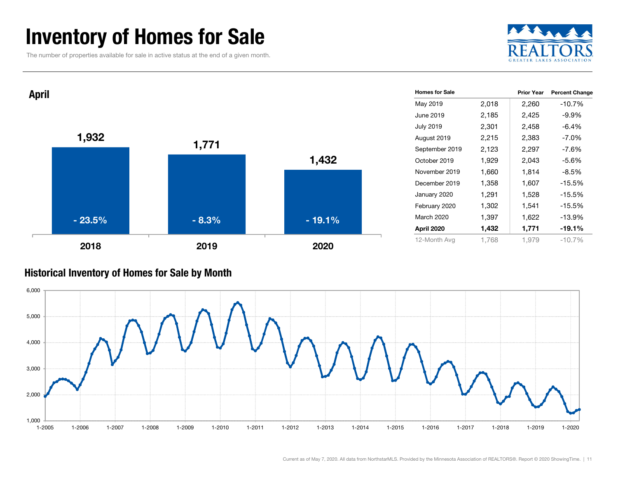### Inventory of Homes for Sale

The number of properties available for sale in active status at the end of a given month.





#### Historical Inventory of Homes for Sale by Month

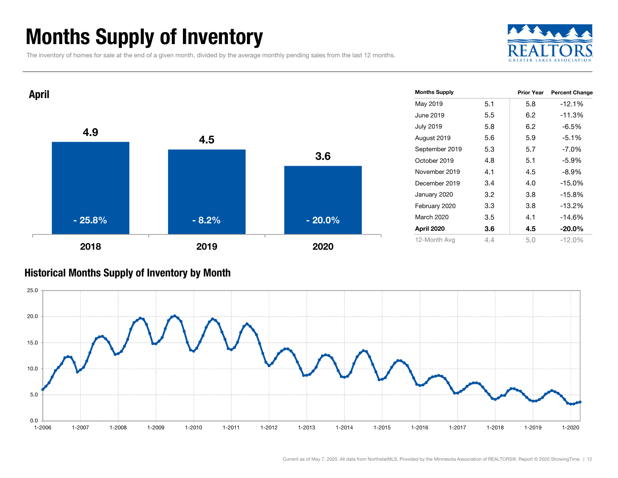### Months Supply of Inventory

The inventory of homes for sale at the end of a given month, divided by the average monthly pending sales from the last 12 months.





#### Historical Months Supply of Inventory by Month